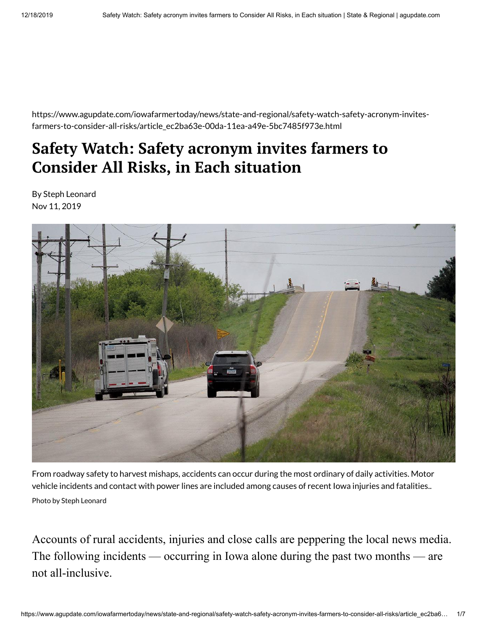https://www.agupdate.com/iowafarmertoday/news/state-and-regional/safety-watch-safety-acronym-invitesfarmers-to-consider-all-risks/article\_ec2ba63e-00da-11ea-a49e-5bc7485f973e.html

## **Safety Watch: Safety acronym invites farmers to Consider All Risks, in Each situation**

By Steph Leonard Nov 11, 2019



From roadway safety to harvest mishaps, accidents can occur during the most ordinary of daily activities. Motor vehicle incidents and contact with power lines are included among causes of recent Iowa injuries and fatalities.. Photo by Steph Leonard

Accounts of rural accidents, injuries and close calls are peppering the local news media. The following incidents — occurring in Iowa alone during the past two months — are not all-inclusive.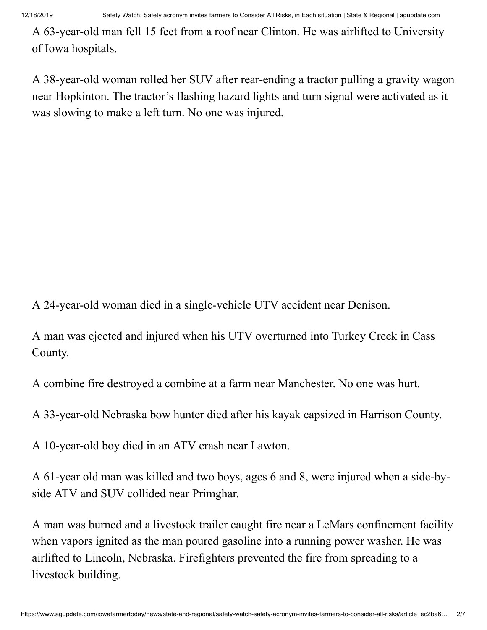A 63-year-old man fell 15 feet from a roof near Clinton. He was airlifted to University of Iowa hospitals.

A 38-year-old woman rolled her SUV after rear-ending a tractor pulling a gravity wagon near Hopkinton. The tractor's flashing hazard lights and turn signal were activated as it was slowing to make a left turn. No one was injured.

A 24-year-old woman died in a single-vehicle UTV accident near Denison.

A man was ejected and injured when his UTV overturned into Turkey Creek in Cass County.

A combine fire destroyed a combine at a farm near Manchester. No one was hurt.

A 33-year-old Nebraska bow hunter died after his kayak capsized in Harrison County.

A 10-year-old boy died in an ATV crash near Lawton.

A 61-year old man was killed and two boys, ages 6 and 8, were injured when a side-byside ATV and SUV collided near Primghar.

A man was burned and a livestock trailer caught fire near a LeMars confinement facility when vapors ignited as the man poured gasoline into a running power washer. He was airlifted to Lincoln, Nebraska. Firefighters prevented the fire from spreading to a livestock building.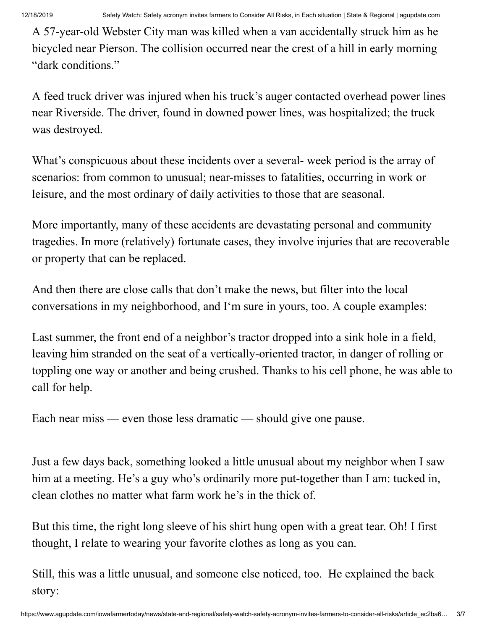A 57-year-old Webster City man was killed when a van accidentally struck him as he bicycled near Pierson. The collision occurred near the crest of a hill in early morning "dark conditions."

A feed truck driver was injured when his truck's auger contacted overhead power lines near Riverside. The driver, found in downed power lines, was hospitalized; the truck was destroyed.

What's conspicuous about these incidents over a several- week period is the array of scenarios: from common to unusual; near-misses to fatalities, occurring in work or leisure, and the most ordinary of daily activities to those that are seasonal.

More importantly, many of these accidents are devastating personal and community tragedies. In more (relatively) fortunate cases, they involve injuries that are recoverable or property that can be replaced.

And then there are close calls that don't make the news, but filter into the local conversations in my neighborhood, and I'm sure in yours, too. A couple examples:

Last summer, the front end of a neighbor's tractor dropped into a sink hole in a field, leaving him stranded on the seat of a vertically-oriented tractor, in danger of rolling or toppling one way or another and being crushed. Thanks to his cell phone, he was able to call for help.

Each near miss — even those less dramatic — should give one pause.

Just a few days back, something looked a little unusual about my neighbor when I saw him at a meeting. He's a guy who's ordinarily more put-together than I am: tucked in, clean clothes no matter what farm work he's in the thick of.

But this time, the right long sleeve of his shirt hung open with a great tear. Oh! I first thought, I relate to wearing your favorite clothes as long as you can.

Still, this was a little unusual, and someone else noticed, too. He explained the back story: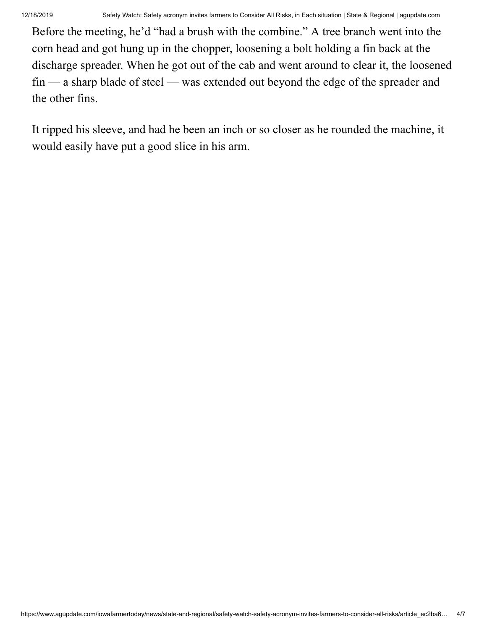Before the meeting, he'd "had a brush with the combine." A tree branch went into the corn head and got hung up in the chopper, loosening a bolt holding a fin back at the discharge spreader. When he got out of the cab and went around to clear it, the loosened fin — a sharp blade of steel — was extended out beyond the edge of the spreader and the other fins.

It ripped his sleeve, and had he been an inch or so closer as he rounded the machine, it would easily have put a good slice in his arm.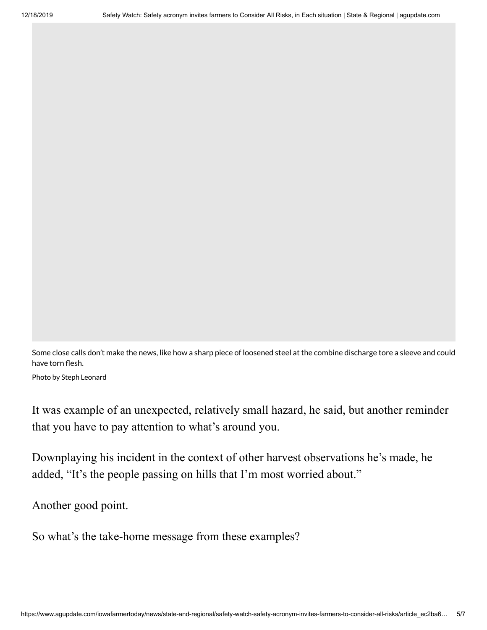Some close calls don't make the news, like how a sharp piece of loosened steel at the combine discharge tore a sleeve and could have torn flesh.

Photo by Steph Leonard

It was example of an unexpected, relatively small hazard, he said, but another reminder that you have to pay attention to what's around you.

Downplaying his incident in the context of other harvest observations he's made, he added, "It's the people passing on hills that I'm most worried about."

Another good point.

So what's the take-home message from these examples?